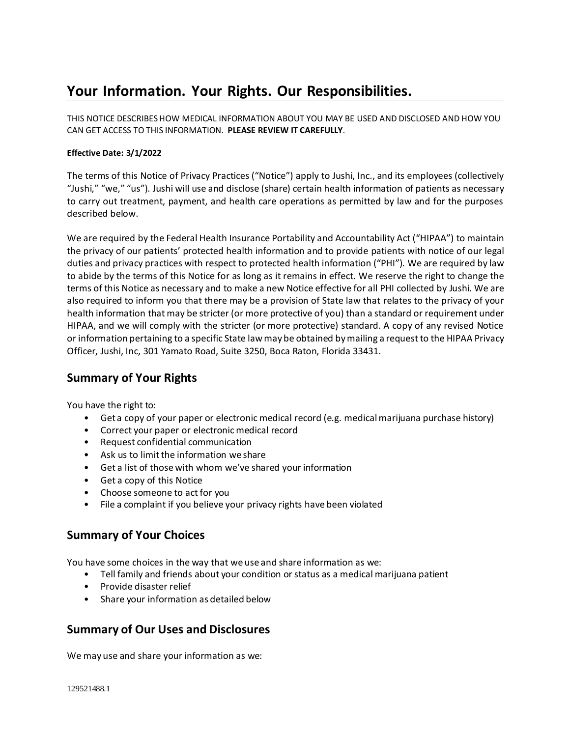# **Your Information. Your Rights. Our Responsibilities.**

THIS NOTICE DESCRIBESHOW MEDICAL INFORMATION ABOUT YOU MAY BE USED AND DISCLOSED AND HOW YOU CAN GET ACCESS TO THIS INFORMATION. **PLEASE REVIEW IT CAREFULLY**.

### **Effective Date: 3/1/2022**

The terms of this Notice of Privacy Practices ("Notice") apply to Jushi, Inc., and its employees (collectively "Jushi," "we," "us"). Jushi will use and disclose (share) certain health information of patients as necessary to carry out treatment, payment, and health care operations as permitted by law and for the purposes described below.

We are required by the Federal Health Insurance Portability and Accountability Act ("HIPAA") to maintain the privacy of our patients' protected health information and to provide patients with notice of our legal duties and privacy practices with respect to protected health information ("PHI"). We are required by law to abide by the terms of this Notice for as long as it remains in effect. We reserve the right to change the terms of this Notice as necessary and to make a new Notice effective for all PHI collected by Jushi. We are also required to inform you that there may be a provision of State law that relates to the privacy of your health information that may be stricter (or more protective of you) than a standard or requirement under HIPAA, and we will comply with the stricter (or more protective) standard. A copy of any revised Notice or information pertaining to a specific State lawmay be obtained bymailing a request to the HIPAA Privacy Officer, Jushi, Inc, 301 Yamato Road, Suite 3250, Boca Raton, Florida 33431.

# **Summary of Your Rights**

You have the right to:

- Get a copy of your paper or electronic medical record (e.g. medical marijuana purchase history)
- Correct your paper or electronic medical record
- Request confidential communication
- Ask us to limit the information we share
- Get a list of those with whom we've shared your information
- Get a copy of this Notice
- Choose someone to act for you
- File a complaint if you believe your privacy rights have been violated

# **Summary of Your Choices**

You have some choices in the way that we use and share information as we:

- Tell family and friends about your condition or status as a medical marijuana patient
- Provide disaster relief
- Share your information as detailed below

# **Summary of Our Uses and Disclosures**

We may use and share your information as we: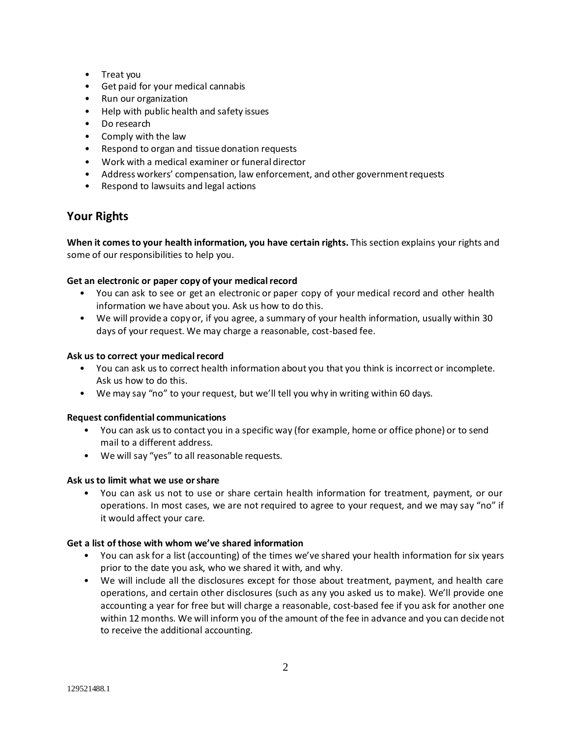- Treat you
- Get paid for your medical cannabis
- Run our organization
- Help with public health and safety issues
- Do research
- Comply with the law
- Respond to organ and tissue donation requests
- Work with a medical examiner or funeral director
- Address workers' compensation, law enforcement, and other governmentrequests
- Respond to lawsuits and legal actions

# **Your Rights**

**When it comesto your health information, you have certain rights.** This section explains your rights and some of our responsibilities to help you.

### **Get an electronic or paper copy of your medicalrecord**

- You can ask to see or get an electronic or paper copy of your medical record and other health information we have about you. Ask us how to do this.
- We will provide a copy or, if you agree, a summary of your health information, usually within 30 days of your request. We may charge a reasonable, cost-based fee.

### Ask us to correct your medical record

- You can ask us to correct health information about you that you think is incorrect or incomplete. Ask us how to do this.
- We may say "no" to your request, but we'll tell you why in writing within 60 days.

### **Request confidential communications**

- You can ask us to contact you in a specific way (for example, home or office phone) or to send mail to a different address.
- We will say "yes" to all reasonable requests.

### **Ask usto limit what we use orshare**

• You can ask us not to use or share certain health information for treatment, payment, or our operations. In most cases, we are not required to agree to your request, and we may say "no" if it would affect your care.

### **Get a list of those with whom we've shared information**

- You can ask for a list (accounting) of the times we've shared your health information for six years prior to the date you ask, who we shared it with, and why.
- We will include all the disclosures except for those about treatment, payment, and health care operations, and certain other disclosures (such as any you asked us to make). We'll provide one accounting a year for free but will charge a reasonable, cost-based fee if you ask for another one within 12 months. We will inform you of the amount of the fee in advance and you can decide not to receive the additional accounting.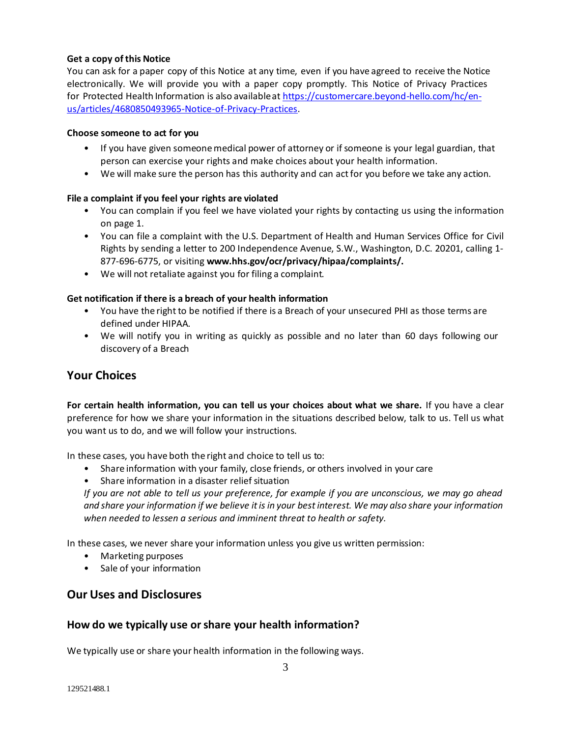### **Get a copy of this Notice**

You can ask for a paper copy of this Notice at any time, even if you have agreed to receive the Notice electronically. We will provide you with a paper copy promptly. This Notice of Privacy Practices for Protected Health Information is also available at [https://customercare.beyond-hello.com/hc/en](https://customercare.beyond-hello.com/hc/en-us/articles/4680850493965-Notice-of-Privacy-Practices)[us/articles/4680850493965-Notice-of-Privacy-Practices.](https://customercare.beyond-hello.com/hc/en-us/articles/4680850493965-Notice-of-Privacy-Practices)

### **Choose someone to act for you**

- If you have given someonemedical power of attorney or if someone is your legal guardian, that person can exercise your rights and make choices about your health information.
- We will make sure the person has this authority and can act for you before we take any action.

### **File a complaint if you feel your rights are violated**

- You can complain if you feel we have violated your rights by contacting us using the information on page 1.
- You can file a complaint with the U.S. Department of Health and Human Services Office for Civil Rights by sending a letter to 200 Independence Avenue, S.W., Washington, D.C. 20201, calling 1- 877-696-6775, or visiting **[www.hhs.gov/ocr/privacy/hipaa/complaints/.](http://www.hhs.gov/ocr/privacy/hipaa/complaints/)**
- We will not retaliate against you for filing a complaint.

### **Get notification if there is a breach of your health information**

- You have the right to be notified if there is a Breach of your unsecured PHI as those terms are defined under HIPAA.
- We will notify you in writing as quickly as possible and no later than 60 days following our discovery of a Breach

# **Your Choices**

**For certain health information, you can tell us your choices about what we share.** If you have a clear preference for how we share your information in the situations described below, talk to us. Tell us what you want us to do, and we will follow your instructions.

In these cases, you have both the right and choice to tell us to:

- Share information with your family, close friends, or others involved in your care
- Share information in a disaster relief situation

*If you are not able to tell us your preference, for example if you are unconscious, we may go ahead*  and share your information if we believe it is in your best interest. We may also share your information *when needed to lessen a serious and imminent threat to health or safety.*

In these cases, we never share your information unless you give us written permission:

- Marketing purposes
- Sale of your information

# **Our Uses and Disclosures**

### **How do we typically use orshare your health information?**

We typically use or share your health information in the following ways.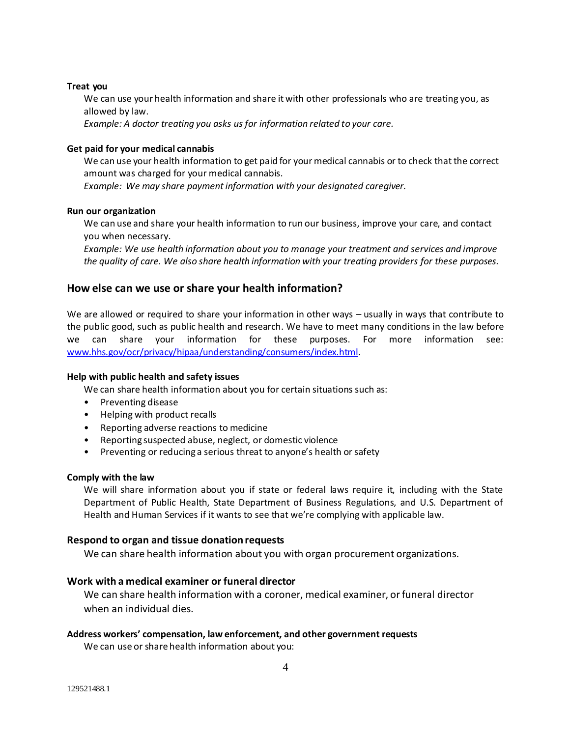### **Treat you**

We can use your health information and share it with other professionals who are treating you, as allowed by law.

*Example: A doctor treating you asks us for information related to your care.*

### **Get paid for your medical cannabis**

We can use your health information to get paid for your medical cannabis or to check that the correct amount was charged for your medical cannabis.

*Example: We may share payment information with your designated caregiver.*

### **Run our organization**

We can use and share your health information to run our business, improve your care, and contact you when necessary.

*Example: We use health information about you to manage your treatment and services and improve the quality of care. We also share health information with your treating providers for these purposes.*

### **How else can we use or share your health information?**

We are allowed or required to share your information in other ways – usually in ways that contribute to the public good, such as public health and research. We have to meet many conditions in the law before we can share your information for these purposes. For more information see: [www.hhs.gov/ocr/privacy/hipaa/understanding/consumers/index.html.](http://www.hhs.gov/ocr/privacy/hipaa/understanding/consumers/index.html)

### **Help with public health and safety issues**

We can share health information about you for certain situations such as:

- Preventing disease
- Helping with product recalls
- Reporting adverse reactions to medicine
- Reporting suspected abuse, neglect, or domestic violence
- Preventing or reducing a serious threat to anyone's health or safety

### **Comply with the law**

We will share information about you if state or federal laws require it, including with the State Department of Public Health, State Department of Business Regulations, and U.S. Department of Health and Human Services if it wants to see that we're complying with applicable law.

### **Respond to organ and tissue donation requests**

We can share health information about you with organ procurement organizations.

### **Work with a medical examiner or funeral director**

We can share health information with a coroner, medical examiner, or funeral director when an individual dies.

### **Address workers' compensation, law enforcement, and other government requests**

We can use or share health information about you: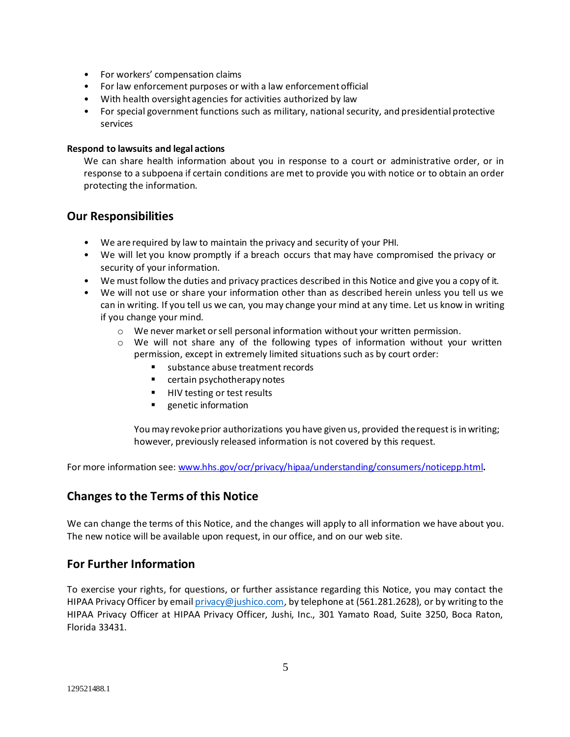- For workers' compensation claims
- For law enforcement purposes or with a law enforcementofficial
- With health oversight agencies for activities authorized by law
- For special government functions such as military, nationalsecurity, and presidential protective services

### **Respond to lawsuits and legal actions**

We can share health information about you in response to a court or administrative order, or in response to a subpoena if certain conditions are met to provide you with notice or to obtain an order protecting the information.

### **Our Responsibilities**

- We are required by law to maintain the privacy and security of your PHI.
- We will let you know promptly if a breach occurs that may have compromised the privacy or security of your information.
- We must follow the duties and privacy practices described in this Notice and give you a copy of it.
- We will not use or share your information other than as described herein unless you tell us we can in writing. If you tell us we can, you may change your mind at any time. Let us know in writing if you change your mind.
	- $\circ$  We never market or sell personal information without your written permission.
	- $\circ$  We will not share any of the following types of information without your written permission, except in extremely limited situations such as by court order:
		- substance abuse treatment records
		- certain psychotherapy notes
		- HIV testing or test results
		- genetic information

Youmay revokeprior authorizations you have given us, provided therequest is in writing; however, previously released information is not covered by this request.

For more information see: [www.hhs.gov/ocr/privacy/hipaa/understanding/consumers/noticepp.html](http://www.hhs.gov/ocr/privacy/hipaa/understanding/consumers/noticepp.html)**.**

# **Changes to the Terms of this Notice**

We can change the terms of this Notice, and the changes will apply to all information we have about you. The new notice will be available upon request, in our office, and on our web site.

# **For Further Information**

To exercise your rights, for questions, or further assistance regarding this Notice, you may contact the HIPAA Privacy Officer by email [privacy@jushico.com,](mailto:privacy@jushico.com) by telephone at (561.281.2628), or by writing to the HIPAA Privacy Officer at HIPAA Privacy Officer, Jushi, Inc., 301 Yamato Road, Suite 3250, Boca Raton, Florida 33431.